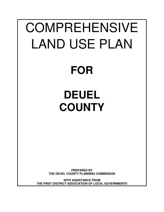# COMPREHENSIVE LAND USE PLAN

# **FOR**

# **DEUEL COUNTY**

**PREPARED BY THE DEUEL COUNTY PLANNING COMMISSION**

**WITH ASSISTANCE FROM THE FIRST DISTRICT ASSOCIATION OF LOCAL GOVERNMENTS**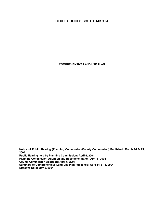# **DEUEL COUNTY, SOUTH DAKOTA**

**COMPREHENSIVE LAND USE PLAN**

**Notice of Public Hearing (Planning Commission/County Commission) Published: March 24 & 25, 2004 Public Hearing held by Planning Commission: April 6, 2004 Planning Commission Adoption and Recommendation: April 6, 2004 County Commission Adoption: April 6, 2004 Summary of Comprehensive Land Use Plan Published: April 14 & 15, 2004 Effective Date: May 5, 2004**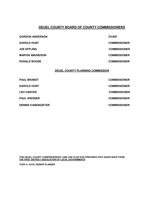## **DEUEL COUNTY BOARD OF COUNTY COMMISSIONERS**

| <b>GORDON ANDERSON</b> | <b>CHAIR</b>        |
|------------------------|---------------------|
| <b>DAROLD HUNT</b>     | <b>COMMISSIONER</b> |
| <b>JOE EFFLING</b>     | <b>COMMISSIONER</b> |
| <b>MARVIN AMUNDSON</b> | <b>COMMISSIONER</b> |
| <b>RONALD BOONE</b>    | <b>COMMISSIONER</b> |
|                        |                     |

#### **DEUEL COUNTY PLANNING COMMISSION**

| <b>PAUL BRANDT</b>        | <b>COMMISSIONER</b> |
|---------------------------|---------------------|
| <b>DAROLD HUNT</b>        | <b>COMMISSIONER</b> |
| <b>LEO HANTEN</b>         | <b>COMMISSIONER</b> |
| <b>PAUL WIESNER</b>       | <b>COMMISSIONER</b> |
| <b>DENNIS KANENGIETER</b> | <b>COMMISSIONER</b> |

**THIS DEUEL COUNTY COMPREHENSIVE LAND USE PLAN WAS PREPARED WITH ASSISTANCE FROM THE FIRST DISTRICT ASSOCIATION OF LOCAL GOVERNMENTS**

**TODD A. KAYS, SENIOR PLANNER**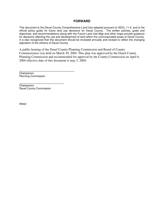### **FORWARD**

This document is the Deuel County Comprehensive Land Use adopted pursuant to SDCL 11-2, and is the official policy guide for future land use decisions for Deuel County. The written policies, goals and objectives, and recommendations along with the Future Land Use Map and other maps provide guidance for decisions affecting the use and development of land within the unincorporated areas of Deuel County. It is also recognized that this document should be reviewed annually and revised to reflect the changing aspiration of the citizens of Deuel County.

A public hearing of the Deuel County Planning Commission and Board of County Commissioners was held on March 30, 2004. This plan was approved by the Deuel County Planning Commission and recommended for approval by the County Commission on April 6, 2004 effective date of this document is may 5, 2004.

**\_\_\_\_\_\_\_\_\_\_\_\_\_\_\_\_\_\_\_\_\_\_\_\_\_\_\_\_\_\_\_\_\_\_\_\_\_** Chairperson Planning Commission

**\_\_\_\_\_\_\_\_\_\_\_\_\_\_\_\_\_\_\_\_\_\_\_\_\_\_\_\_\_\_ Chairperson** Deuel County Commission

Attest: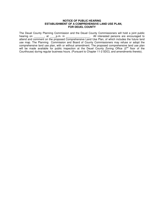#### **NOTICE OF PUBLIC HEARING ESTABLISHMENT OF A COMPREHENSIVE LAND USE PLAN, FOR DEUEL COUNTY**

The Deuel County Planning Commission and the Deuel County Commissioners will hold a joint public hearing on \_\_\_\_\_\_\_, at \_\_\_\_p.m. in \_\_\_\_\_\_\_\_\_\_\_\_\_\_\_\_\_. All interested persons are encouraged to attend and comment on the proposed Comprehensive Land Use Plan, of which includes the future land use map. The Planning Commission and Board of County Commissioners may refuse or adopt the comprehensive land use plan, with or without amendment. The proposed comprehensive land use plan will be made available for public inspection at the Deuel County Zoning Office (2<sup>nd</sup> floor of the Courthouse) during regular business hours. (Pursuant to Chapter 11-2 SDCL and amendments thereto).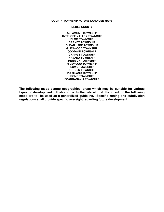#### **COUNTY/TOWNSHIP FUTURE LAND USE MAPS**

#### **DEUEL COUNTY**

**ALTAMONT TOWNSHIP ANTELOPE VALLEY TOWNSHIP BLOM TOWNSHIP BRANDT TOWNSHIP CLEAR LAKE TOWNSHIP GLENWOOD TOWNSHIP GOODWIN TOWNSHIP GRANGE TOWNSHIP HAVANA TOWNSHIP HERRICK TOWNSHIP HIDEWOOD TOWNSHIP LOWE TOWNSHIP NORDEN TOWNSHIP PORTLAND TOWNSHIP ROME TOWNSHIP SCANDANAVIA TOWNSHIP**

**The following maps denote geographical areas which may be suitable for various types of development. It should be further stated that the intent of the following maps are to be used as a generalized guideline. Specific zoning and subdivision regulations shall provide specific oversight regarding future development.**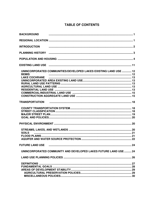# **TABLE OF CONTENTS**

| <b>BACKGROUND</b>      |                                                                                                                |  |
|------------------------|----------------------------------------------------------------------------------------------------------------|--|
|                        |                                                                                                                |  |
| <b>INTRODUCTION</b>    |                                                                                                                |  |
|                        |                                                                                                                |  |
|                        |                                                                                                                |  |
|                        | EXISTING LAND USE manufactured and the control of the USA state of the USA state of the USA state of the USA s |  |
| <b>BEMIS</b>           | UNINCORPORATED COMMUNITIES/DEVELOPED LAKES EXISTING LAND USE  12                                               |  |
| <b>LAKE COCHRANE</b>   |                                                                                                                |  |
|                        |                                                                                                                |  |
|                        |                                                                                                                |  |
|                        |                                                                                                                |  |
|                        |                                                                                                                |  |
|                        |                                                                                                                |  |
|                        |                                                                                                                |  |
|                        |                                                                                                                |  |
|                        |                                                                                                                |  |
|                        |                                                                                                                |  |
|                        |                                                                                                                |  |
|                        |                                                                                                                |  |
|                        |                                                                                                                |  |
|                        |                                                                                                                |  |
| <b>SOILS</b>           |                                                                                                                |  |
|                        |                                                                                                                |  |
|                        |                                                                                                                |  |
| <b>FUTURE LAND USE</b> |                                                                                                                |  |
|                        | UNINCORPORATED COMMUNITY AND DEVELOPED LAKES FUTURE LAND USE  24                                               |  |
|                        |                                                                                                                |  |
|                        |                                                                                                                |  |
|                        |                                                                                                                |  |
|                        |                                                                                                                |  |
|                        |                                                                                                                |  |
|                        |                                                                                                                |  |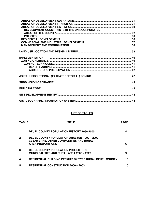| DEVELOPMENT CONSTRAINTS IN THE UNINCORPORATED |  |
|-----------------------------------------------|--|
|                                               |  |
|                                               |  |
|                                               |  |
|                                               |  |
|                                               |  |
|                                               |  |
|                                               |  |
|                                               |  |
|                                               |  |
|                                               |  |
|                                               |  |
|                                               |  |
|                                               |  |
|                                               |  |
|                                               |  |
|                                               |  |

## **LIST OF TABLES**

| <b>TABLE</b> | TITLE                                                                                                                            | <b>PAGE</b> |
|--------------|----------------------------------------------------------------------------------------------------------------------------------|-------------|
| 1.           | <b>DEUEL COUNTY POPULATION HISTORY 1960-2000</b>                                                                                 | 4           |
| 2.           | <b>DEUEL COUNTY POPULATION ANALYSIS 1990 - 2000</b><br><b>CLEAR LAKE, OTHER COMMUNITIES AND RURAL</b><br><b>AREA PROPORTIONS</b> | 6           |
| 3.           | DEUEL COUNTY POPULATION PROJECTIONS<br><b>MUNICIPALITIES AND RURAL AREA 2000 - 2020</b>                                          | 9           |
| 4.           | <b>RESIDENTIAL BUILDING PERMITS BY TYPE RURAL DEUEL COUNTY</b>                                                                   | 10          |
| 5.           | <b>RESIDENTIAL CONSTRUCTION 2000 - 2003</b>                                                                                      | 10          |